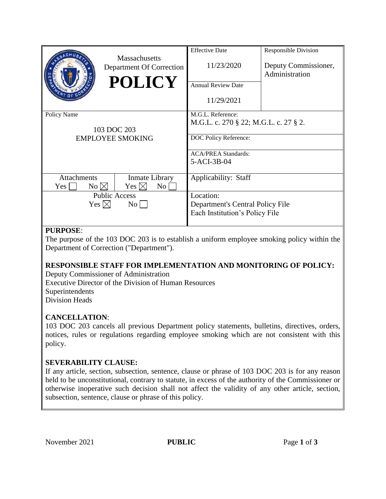|                                                                  | <b>Massachusetts</b><br>Department Of Correction<br><b>POLICY</b>            | <b>Effective Date</b><br>11/23/2020<br><b>Annual Review Date</b><br>11/29/2021                                                   | <b>Responsible Division</b><br>Deputy Commissioner,<br>Administration |
|------------------------------------------------------------------|------------------------------------------------------------------------------|----------------------------------------------------------------------------------------------------------------------------------|-----------------------------------------------------------------------|
| Policy Name<br>103 DOC 203<br><b>EMPLOYEE SMOKING</b>            |                                                                              | M.G.L. Reference:<br>M.G.L. c. 270 § 22; M.G.L. c. 27 § 2.<br>DOC Policy Reference:<br><b>ACA/PREA Standards:</b><br>5-ACI-3B-04 |                                                                       |
| <b>Attachments</b><br>$No \boxtimes$<br>Yes  <br>Yes $\boxtimes$ | Inmate Library<br>Yes $\boxtimes$<br>No<br><b>Public Access</b><br>$\rm{No}$ | Applicability: Staff<br>Location:<br>Department's Central Policy File<br>Each Institution's Policy File                          |                                                                       |

## **PURPOSE**:

The purpose of the 103 DOC 203 is to establish a uniform employee smoking policy within the Department of Correction ("Department").

## **RESPONSIBLE STAFF FOR IMPLEMENTATION AND MONITORING OF POLICY:**

Deputy Commissioner of Administration Executive Director of the Division of Human Resources Superintendents Division Heads

## **CANCELLATION**:

103 DOC 203 cancels all previous Department policy statements, bulletins, directives, orders, notices, rules or regulations regarding employee smoking which are not consistent with this policy.

## **SEVERABILITY CLAUSE:**

If any article, section, subsection, sentence, clause or phrase of 103 DOC 203 is for any reason held to be unconstitutional, contrary to statute, in excess of the authority of the Commissioner or otherwise inoperative such decision shall not affect the validity of any other article, section, subsection, sentence, clause or phrase of this policy.

November 2021 **PUBLIC** Page 1 of 3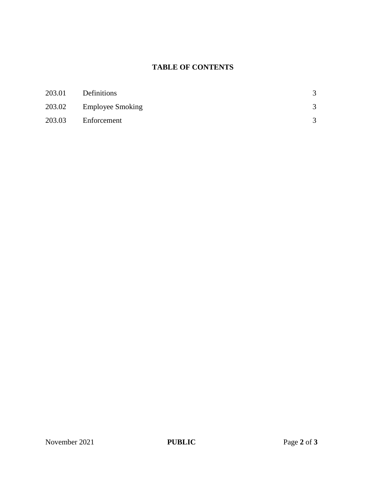# **TABLE OF CONTENTS**

| 203.01 | Definitions             | 3             |
|--------|-------------------------|---------------|
|        | 203.02 Employee Smoking | $\mathcal{R}$ |
| 203.03 | Enforcement             | $\mathcal{R}$ |